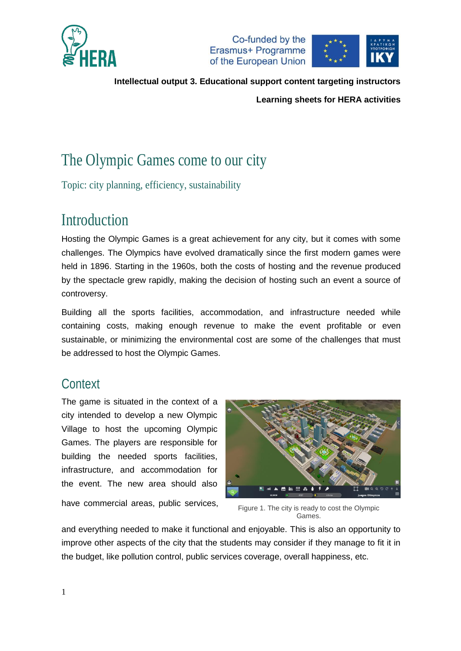



**Learning sheets for HERA activities**

# The Olympic Games come to our city

Topic: city planning, efficiency, sustainability

# Introduction

Hosting the Olympic Games is a great achievement for any city, but it comes with some challenges. The Olympics have evolved dramatically since the first modern games were held in 1896. Starting in the 1960s, both the costs of hosting and the revenue produced by the spectacle grew rapidly, making the decision of hosting such an event a source of controversy.

Building all the sports facilities, accommodation, and infrastructure needed while containing costs, making enough revenue to make the event profitable or even sustainable, or minimizing the environmental cost are some of the challenges that must be addressed to host the Olympic Games.

# **Context**

The game is situated in the context of a city intended to develop a new Olympic Village to host the upcoming Olympic Games. The players are responsible for building the needed sports facilities, infrastructure, and accommodation for the event. The new area should also

have commercial areas, public services,



Figure 1. The city is ready to cost the Olympic Games.

and everything needed to make it functional and enjoyable. This is also an opportunity to improve other aspects of the city that the students may consider if they manage to fit it in the budget, like pollution control, public services coverage, overall happiness, etc.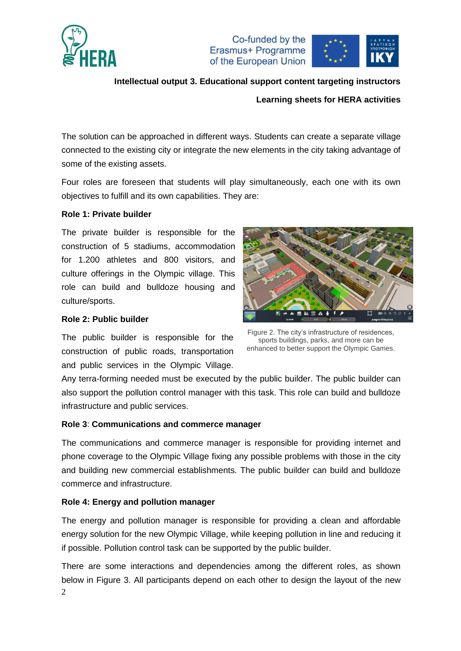



#### **Learning sheets for HERA activities**

The solution can be approached in different ways. Students can create a separate village connected to the existing city or integrate the new elements in the city taking advantage of some of the existing assets.

Four roles are foreseen that students will play simultaneously, each one with its own objectives to fulfill and its own capabilities. They are:

#### **Role 1: Private builder**

The private builder is responsible for the construction of 5 stadiums, accommodation for 1.200 athletes and 800 visitors, and culture offerings in the Olympic village. This role can build and bulldoze housing and culture/sports.

#### **Role 2: Public builder**

The public builder is responsible for the construction of public roads, transportation and public services in the Olympic Village.



Figure 2. The city's infrastructure of residences, sports buildings, parks, and more can be enhanced to better support the Olympic Games.

Any terra-forming needed must be executed by the public builder. The public builder can also support the pollution control manager with this task. This role can build and bulldoze infrastructure and public services.

#### **Role 3**: **Communications and commerce manager**

The communications and commerce manager is responsible for providing internet and phone coverage to the Olympic Village fixing any possible problems with those in the city and building new commercial establishments. The public builder can build and bulldoze commerce and infrastructure.

#### **Role 4: Energy and pollution manager**

The energy and pollution manager is responsible for providing a clean and affordable energy solution for the new Olympic Village, while keeping pollution in line and reducing it if possible. Pollution control task can be supported by the public builder.

2 There are some interactions and dependencies among the different roles, as shown below in [Figure 3.](#page-2-0) All participants depend on each other to design the layout of the new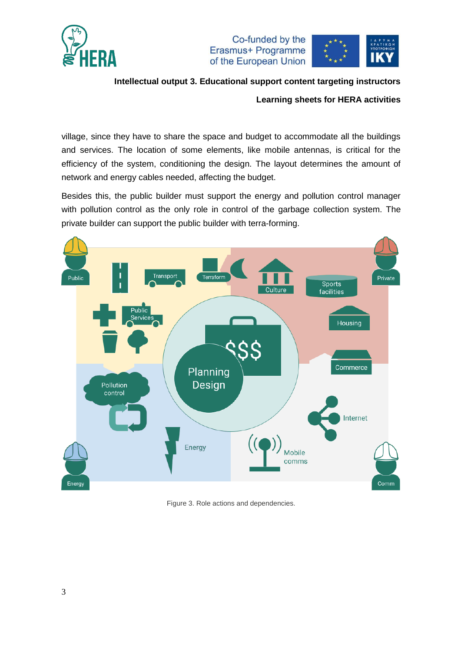

Co-funded by the Erasmus+ Programme of the European Union



**Intellectual output 3. Educational support content targeting instructors**

**Learning sheets for HERA activities**

village, since they have to share the space and budget to accommodate all the buildings and services. The location of some elements, like mobile antennas, is critical for the efficiency of the system, conditioning the design. The layout determines the amount of network and energy cables needed, affecting the budget.

Besides this, the public builder must support the energy and pollution control manager with pollution control as the only role in control of the garbage collection system. The private builder can support the public builder with terra-forming.



<span id="page-2-0"></span>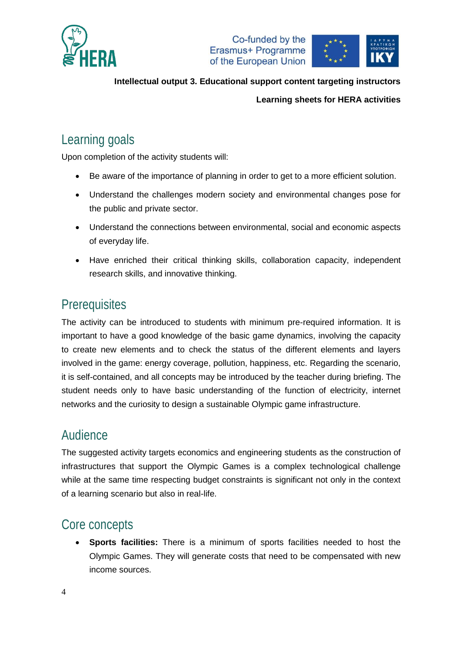



#### **Learning sheets for HERA activities**

# Learning goals

Upon completion of the activity students will:

- Be aware of the importance of planning in order to get to a more efficient solution.
- Understand the challenges modern society and environmental changes pose for the public and private sector.
- Understand the connections between environmental, social and economic aspects of everyday life.
- Have enriched their critical thinking skills, collaboration capacity, independent research skills, and innovative thinking.

## **Prerequisites**

The activity can be introduced to students with minimum pre-required information. It is important to have a good knowledge of the basic game dynamics, involving the capacity to create new elements and to check the status of the different elements and layers involved in the game: energy coverage, pollution, happiness, etc. Regarding the scenario, it is self-contained, and all concepts may be introduced by the teacher during briefing. The student needs only to have basic understanding of the function of electricity, internet networks and the curiosity to design a sustainable Olympic game infrastructure.

### Audience

The suggested activity targets economics and engineering students as the construction of infrastructures that support the Olympic Games is a complex technological challenge while at the same time respecting budget constraints is significant not only in the context of a learning scenario but also in real-life.

### Core concepts

 **Sports facilities:** There is a minimum of sports facilities needed to host the Olympic Games. They will generate costs that need to be compensated with new income sources.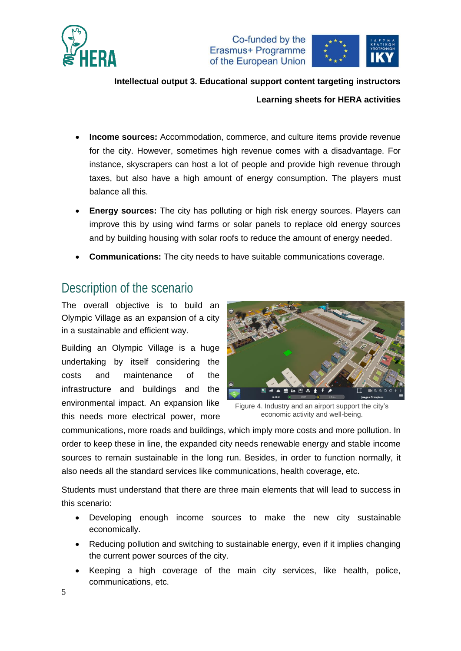

Co-funded by the Erasmus+ Programme of the European Union



**Intellectual output 3. Educational support content targeting instructors Learning sheets for HERA activities**

- **Income sources:** Accommodation, commerce, and culture items provide revenue for the city. However, sometimes high revenue comes with a disadvantage. For instance, skyscrapers can host a lot of people and provide high revenue through taxes, but also have a high amount of energy consumption. The players must balance all this.
- **Energy sources:** The city has polluting or high risk energy sources. Players can improve this by using wind farms or solar panels to replace old energy sources and by building housing with solar roofs to reduce the amount of energy needed.
- **Communications:** The city needs to have suitable communications coverage.

## Description of the scenario

The overall objective is to build an Olympic Village as an expansion of a city in a sustainable and efficient way.

Building an Olympic Village is a huge undertaking by itself considering the costs and maintenance of the infrastructure and buildings and the environmental impact. An expansion like this needs more electrical power, more



Figure 4. Industry and an airport support the city's economic activity and well-being.

communications, more roads and buildings, which imply more costs and more pollution. In order to keep these in line, the expanded city needs renewable energy and stable income sources to remain sustainable in the long run. Besides, in order to function normally, it also needs all the standard services like communications, health coverage, etc.

Students must understand that there are three main elements that will lead to success in this scenario:

- Developing enough income sources to make the new city sustainable economically.
- Reducing pollution and switching to sustainable energy, even if it implies changing the current power sources of the city.
- Keeping a high coverage of the main city services, like health, police, communications, etc.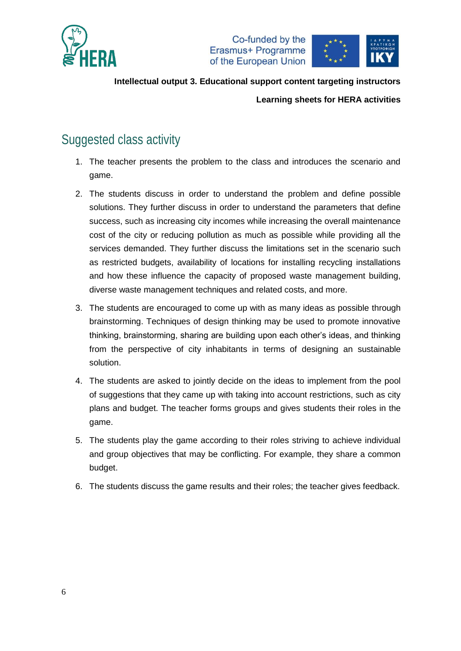





**Intellectual output 3. Educational support content targeting instructors Learning sheets for HERA activities**

# Suggested class activity

- 1. The teacher presents the problem to the class and introduces the scenario and game.
- 2. The students discuss in order to understand the problem and define possible solutions. They further discuss in order to understand the parameters that define success, such as increasing city incomes while increasing the overall maintenance cost of the city or reducing pollution as much as possible while providing all the services demanded. They further discuss the limitations set in the scenario such as restricted budgets, availability of locations for installing recycling installations and how these influence the capacity of proposed waste management building, diverse waste management techniques and related costs, and more.
- 3. The students are encouraged to come up with as many ideas as possible through brainstorming. Techniques of design thinking may be used to promote innovative thinking, brainstorming, sharing are building upon each other's ideas, and thinking from the perspective of city inhabitants in terms of designing an sustainable solution.
- 4. The students are asked to jointly decide on the ideas to implement from the pool of suggestions that they came up with taking into account restrictions, such as city plans and budget. The teacher forms groups and gives students their roles in the game.
- 5. The students play the game according to their roles striving to achieve individual and group objectives that may be conflicting. For example, they share a common budget.
- 6. The students discuss the game results and their roles; the teacher gives feedback.